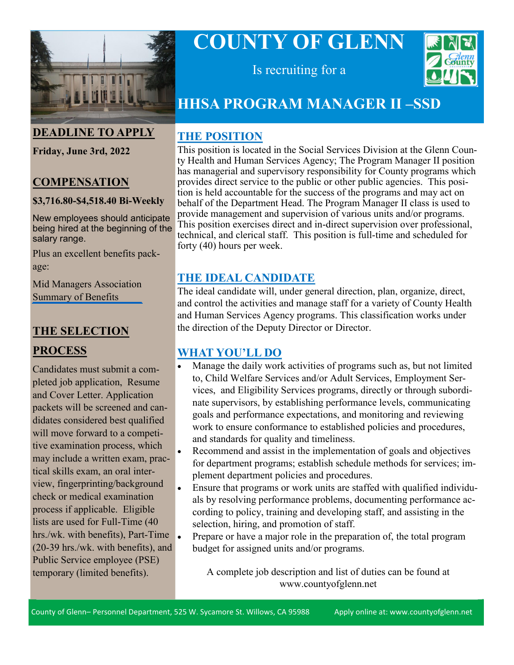

#### **DEADLINE TO APPLY**

**Friday, June 3rd, 2022**

#### **COMPENSATION**

#### **\$3,716.80-\$4,518.40 Bi-Weekly**

New employees should anticipate being hired at the beginning of the salary range.

Plus an excellent benefits package:

[Mid Managers Association](https://www.countyofglenn.net/sites/default/files/Personnel/MOU/GCPERL%2017-GCMMA%20Sum%20of%20Benefits%2020110701_0.pdf)  Summary of Benefits

#### **THE SELECTION**

#### **PROCESS**

Candidates must submit a completed job application, Resume and Cover Letter. Application packets will be screened and candidates considered best qualified will move forward to a competitive examination process, which may include a written exam, practical skills exam, an oral interview, fingerprinting/background check or medical examination process if applicable. Eligible lists are used for Full-Time (40 hrs./wk. with benefits), Part-Time (20-39 hrs./wk. with benefits), and Public Service employee (PSE) temporary (limited benefits).

# **COUNTY OF GLENN**



Is recruiting for a

## **HHSA PROGRAM MANAGER II –SSD**

#### **THE POSITION**

This position is located in the Social Services Division at the Glenn County Health and Human Services Agency; The Program Manager II position has managerial and supervisory responsibility for County programs which provides direct service to the public or other public agencies. This position is held accountable for the success of the programs and may act on behalf of the Department Head. The Program Manager II class is used to provide management and supervision of various units and/or programs. This position exercises direct and in-direct supervision over professional, technical, and clerical staff. This position is full-time and scheduled for forty (40) hours per week.

### **THE IDEAL CANDIDATE**

The ideal candidate will, under general direction, plan, organize, direct, and control the activities and manage staff for a variety of County Health and Human Services Agency programs. This classification works under the direction of the Deputy Director or Director.

#### **WHAT YOU'LL DO**

- Manage the daily work activities of programs such as, but not limited to, Child Welfare Services and/or Adult Services, Employment Services, and Eligibility Services programs, directly or through subordinate supervisors, by establishing performance levels, communicating goals and performance expectations, and monitoring and reviewing work to ensure conformance to established policies and procedures, and standards for quality and timeliness.
- Recommend and assist in the implementation of goals and objectives for department programs; establish schedule methods for services; implement department policies and procedures.
- Ensure that programs or work units are staffed with qualified individuals by resolving performance problems, documenting performance according to policy, training and developing staff, and assisting in the selection, hiring, and promotion of staff.
- Prepare or have a major role in the preparation of, the total program budget for assigned units and/or programs.

A complete job description and list of duties can be found at www.countyofglenn.net